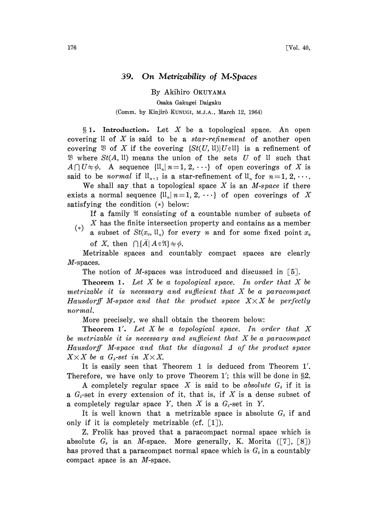## 39. On Metrizability of M.Spaces

By Akihiro OKUYAMA Osaka Gakugei Daigaku (Comm. by Kinjirô KUNUGI, M.J.A., March 12, 1964)

 $§ 1.$  Introduction. Let X be a topological space. An open covering  $\mathfrak U$  of X is said to be a star-refinement of another open covering  $\mathfrak{B}$  of X if the covering  $\{St(U, \mathfrak{U}) | U \in \mathfrak{U} \}$  is a refinement of  $\mathfrak{B}$  where  $St(A, \mathfrak{U})$  means the union of the sets U of U such that  $A \cap U \neq \emptyset$ . A sequence  $\{U_n | n=1, 2, \cdots\}$  of open coverings of X is said to be normal if  $U_{n+1}$  is a star-refinement of  $U_n$  for  $n=1, 2, \cdots$ . said to be *normal* if  $ll_{n+1}$  is a star-refinement of  $ll_n$  for  $n=1, 2, \cdots$ .<br>We shall say that a topological space X is an M-space if there

exists a normal sequence  $\{1\mid n=1, 2, \cdots\}$  of open coverings of X satisfying the condition  $(*)$  below:

If a family  $\mathfrak A$  consisting of a countable number of subsets of (\*) X has the finite intersection property and contains as a member

a subset of  $St(x_0, \mathfrak{U}_n)$  for every n and for some fixed point  $x_0$ of X, then  $\bigcap \{A \mid A \in \mathfrak{A}\}\neq \emptyset$ .

Metrizable spaces and countably compact spaces are clearly M-spaces.

The notion of M-spaces was introduced and discussed in  $[5]$ .

**Theorem 1.** Let X be a topological space. In order that X be metrizable it is necessary and sufficient that  $X$  be a paracompact Hausdorff M-space and that the product space  $X \times X$  be perfectly normal.

More precisely, we shall obtain the theorem below:

**Theorem 1'.** Let X be a topological space. In order that X be metrizable it is necessary and sufficient that X be <sup>a</sup> paracompact Hausdorff M-space and that the diagonal  $\Delta$  of the product space  $X \times X$  be a  $G_s$ -set in  $X \times X$ .

It is easily seen that Theorem 1 is deduced from Theorem 1'. Therefore, we have only to prove Theorem 1'; this will be done in  $\S2$ .

A completely regular space X is said to be absolute  $G<sub>\delta</sub>$  if it is a  $G_{\delta}$ -set in every extension of it, that is, if X is a dense subset of a completely regular space Y, then X is a  $G<sub>5</sub>$ -set in Y.

It is well known that a metrizable space is absolute  $G_i$  if and only if it is completely metrizable (cf.  $[1]$ ).

Z. Frolik has proved that a paracompact normal space which is absolute  $G_i$  is an *M*-space. More generally, K. Morita ([7], [8]) has proved that a paracompact normal space which is  $G_{\delta}$  in a countably compact space is an M-space.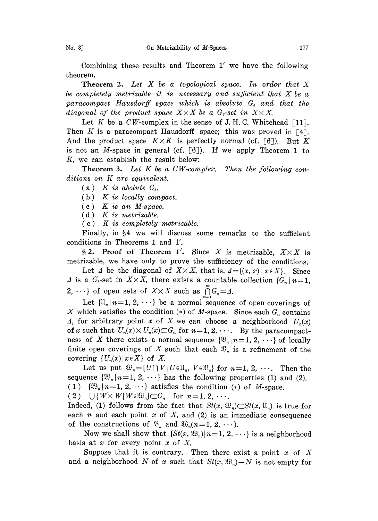Combining these results and Theorem 1' we have the following theorem.

**Theorem 2.** Let  $X$  be a topological space. In order that  $X$ be completely metrizable it is necessary and sufficient that  $X$  be a paracompact Hausdorff space which is absolute  $G<sub>s</sub>$  and that the diagonal of the product space  $X \times X$  be a  $G_{\delta}$ -set in  $X \times X$ .

Let K be a  $CW$ -complex in the sense of J.H.C. Whitehead [11]. Then K is a paracompact Hausdorff space; this was proved in [4]. And the product space  $K \times K$  is perfectly normal (cf. [6]). But K is not an *M*-space in general (cf.  $[6]$ ). If we apply Theorem 1 to K, we can establish the result below:

**Theorem 3.** Let  $K$  be a  $CW$ -complex. Then the following conditions on K are equivalent.

(a) K is abolute  $G_{\delta}$ .

 $(b)$  K is locally compact.

 $(c)$  K is an M-space.

 $(d)$  K is metrizable.

 $(e)$  K is completely metrizable.

Finally, in §4 we will discuss some remarks to the sufficient conditions in Theorems 1 and 1'.

§ 2. Proof of Theorem 1'. Since X is metrizable,  $X \times X$  is. metrizable, we have only to prove the sufficiency of the conditions.

Let  $\Delta$  be the diagonal of  $X \times X$ , that is,  $\Delta = \{(x, x) | x \in X\}$ . Since  $\Delta$  is a  $G_i$ -set in  $X \times X$ , there exists a countable collection  $\{G_n \mid n=1\}$ , 2,  $\cdots$ } of open sets of  $X \times X$  such as  $\bigcap_{n=1}^{\infty} G_n = \emptyset$ .

Let  $\{l_i, n=1, 2, \cdots\}$  be a normal sequence of open coverings of X which satisfies the condition (\*) of M-space. Since each  $G_n$  contains A, for arbitrary point x of X we can choose a neighborhood  $U_n(x)$ of x such that  $U_n(x) \times U_n(x) \subset G_n$  for  $n=1, 2, \cdots$ . By the paracompactness of X there exists a normal sequence  $\{\mathfrak{B}_n \mid n=1, 2, \cdots\}$  of locally finite open coverings of X such that each  $\mathfrak{B}_n$  is a refinement of the covering  $\{U_n(x) | x \in X\}$  of X.

Let us put  $\mathfrak{B}_n = \{U \cap V \mid U \in \mathfrak{U}_n, V \in \mathfrak{B}_n\}$  for  $n = 1, 2, \cdots$ . Then the sequence  $\{\mathfrak{B}_n | n=1, 2, \cdots\}$  has the following properties (1) and (2). (1)  $\{\mathfrak{W}_n | n=1, 2, \cdots\}$  satisfies the condition (\*) of *M*-space.<br>(2)  $\bigcup \{W \times W | W \in \mathfrak{W}_n\} \subset G_n$  for  $n=1, 2, \cdots$ .

 $\bigcup \{W \times W | W \in \mathfrak{W}_n\} \subset G_n$  for  $n=1, 2, \cdots$ .

Indeed, (1) follows from the fact that  $St(x, \mathfrak{B}_n) \subset St(x, \mathfrak{U}_n)$  is true for each  $n$  and each point  $x$  of  $X$ , and (2) is an immediate consequence of the constructions of  $\mathfrak{B}_n$  and  $\mathfrak{B}_n(n=1, 2, \cdots).$ 

Now we shall show that  $\{St(x, \mathfrak{B}_n)| n=1, 2, \cdots\}$  is a neighborhood basis at  $x$  for every point  $x$  of  $X$ .

Suppose that it is contrary. Then there exist a point x of X and a neighborhood N of x such that  $St(x, \mathfrak{B}_n) - N$  is not empty for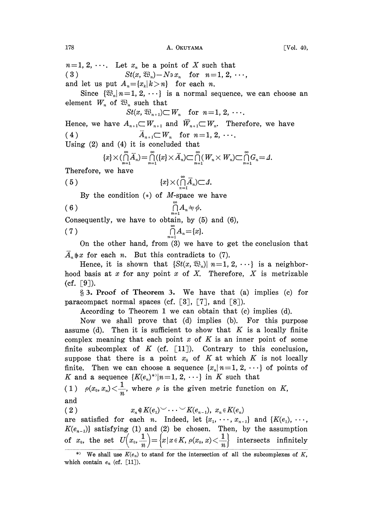$n=1, 2, \cdots$ . Let  $x_n$  be a point of X such that (3)  $St(x, \mathfrak{B}_n) - N \ni x_n$  for  $n=1, 2, \cdots$ ,

and let us put  $A_n = \{x_k | k > n\}$  for each *n*.

Since  $\{\mathfrak{B}_{n}|n=1, 2, \cdots\}$  is a normal sequence, we can choose an element  $W_n$  of  $\mathfrak{B}_n$  such that

$$
St(x, \mathfrak{B}_{n+1}) \subset W_n \quad \text{for } n=1, 2, \cdots.
$$

Hence, we have  $A_{n+1} \subset W_{n+1}$  and  $\overline{W}_{n+1} \subset W_n$ . Therefore, we have (4)  $\overline{A}_{n+1} \subset W_n$  for  $n=1, 2, \cdots$ .

Using (2) and (4) it is concluded that

$$
\{x\}\times(\bigcap_{n=1}^{\infty}\overline{A}_n)=\bigcap_{n=1}^{\infty}(\{x\}\times\overline{A}_n)\subset\bigcap_{n=1}^{\infty}(W_n\times W_n)\subset\bigcap_{n=1}^{\infty}G_n=\Delta.
$$

Therefore, we have

$$
(5) \t\t\t\t\t\{x\}\times(\bigcap_{n=1}^{\infty}\overline{A}_n)\subset\varDelta.
$$

By the condition  $(*)$  of *M*-space we have

$$
(6) \qquad \qquad \bigcap_{n=1}^{\infty} A_n \neq \phi.
$$

Consequently, we have to obtain, by (5) and (6),

$$
(7) \qquad \qquad \bigcap_{n=1}^{\infty} A_n = \{x\}.
$$

On the other hand, from (3) we have to get the conclusion that  $\overline{A}_n \not\Rightarrow x$  for each *n*. But this contradicts to (7).

Hence, it is shown that  $\{St(x, \mathfrak{B}_n) | n=1, 2, \cdots\}$  is a neighborhood basis at x for any point x of X. Therefore, X is metrizable (cf.  $[9]$ ).

§ 3. Proof of Theorem 3. We have that (a) implies (c) for paracompact normal spaces (cf.  $[3]$ ,  $[7]$ , and  $[8]$ ).

According to Theorem <sup>1</sup> we can obtain that (c) implies (d).

Now we shall prove that (d) implies (b). For this purpose assume (d). Then it is sufficient to show that  $K$  is a locally finite complex meaning that each point x of K is an inner point of some finite subcomplex of K (cf.  $[11]$ ). Contrary to this conclusion, suppose that there is a point  $x_0$  of K at which K is not locally finite. Then we can choose a sequence  $\{x_n | n=1, 2, \cdots\}$  of points of K and a sequence  ${K(e_n)^*}{\mid}n=1, 2, \cdots$  in K such that

(1) 
$$
\rho(x_0, x_n) < \frac{1}{n}
$$
, where  $\rho$  is the given metric function on  $K$ , and

$$
\lim_{(0,1)}
$$

$$
x_n \notin K(e_1) \cup \ldots \cup K(e_{n-1}), x_n \in K(e_n)
$$

are satisfied for each *n*. Indeed, let  $\{x_1, \dots, x_{n-1}\}$  and  $\{K(e_1), \dots,$  $K(e_{n-1})$  satisfying (1) and (2) be chosen. Then, by the assumption of  $x_0$ , the set  $U(x_0, \frac{1}{n}) = \left\{ x \mid x \in K, \rho(x_0, x) \leq \frac{1}{n} \right\}$  intersects infinitely

<sup>\*)</sup> We shall use  $K(e_n)$  to stand for the intersection of all the subcomplexes of K, which contain  $e_n$  (cf. [11]).